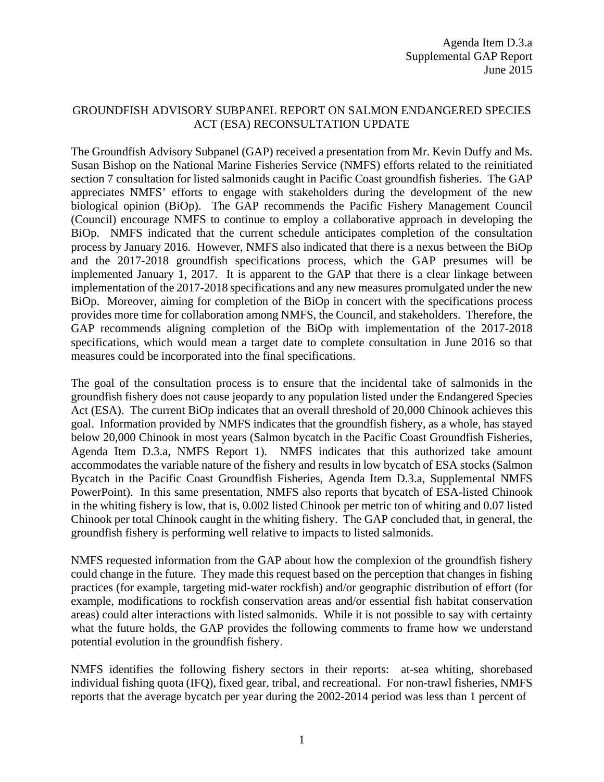## GROUNDFISH ADVISORY SUBPANEL REPORT ON SALMON ENDANGERED SPECIES ACT (ESA) RECONSULTATION UPDATE

The Groundfish Advisory Subpanel (GAP) received a presentation from Mr. Kevin Duffy and Ms. Susan Bishop on the National Marine Fisheries Service (NMFS) efforts related to the reinitiated section 7 consultation for listed salmonids caught in Pacific Coast groundfish fisheries. The GAP appreciates NMFS' efforts to engage with stakeholders during the development of the new biological opinion (BiOp). The GAP recommends the Pacific Fishery Management Council (Council) encourage NMFS to continue to employ a collaborative approach in developing the BiOp. NMFS indicated that the current schedule anticipates completion of the consultation process by January 2016. However, NMFS also indicated that there is a nexus between the BiOp and the 2017-2018 groundfish specifications process, which the GAP presumes will be implemented January 1, 2017. It is apparent to the GAP that there is a clear linkage between implementation of the 2017-2018 specifications and any new measures promulgated under the new BiOp. Moreover, aiming for completion of the BiOp in concert with the specifications process provides more time for collaboration among NMFS, the Council, and stakeholders. Therefore, the GAP recommends aligning completion of the BiOp with implementation of the 2017-2018 specifications, which would mean a target date to complete consultation in June 2016 so that measures could be incorporated into the final specifications.

The goal of the consultation process is to ensure that the incidental take of salmonids in the groundfish fishery does not cause jeopardy to any population listed under the Endangered Species Act (ESA). The current BiOp indicates that an overall threshold of 20,000 Chinook achieves this goal. Information provided by NMFS indicates that the groundfish fishery, as a whole, has stayed below 20,000 Chinook in most years (Salmon bycatch in the Pacific Coast Groundfish Fisheries, Agenda Item D.3.a, NMFS Report 1). NMFS indicates that this authorized take amount accommodates the variable nature of the fishery and results in low bycatch of ESA stocks (Salmon Bycatch in the Pacific Coast Groundfish Fisheries, Agenda Item D.3.a, Supplemental NMFS PowerPoint). In this same presentation, NMFS also reports that bycatch of ESA-listed Chinook in the whiting fishery is low, that is, 0.002 listed Chinook per metric ton of whiting and 0.07 listed Chinook per total Chinook caught in the whiting fishery. The GAP concluded that, in general, the groundfish fishery is performing well relative to impacts to listed salmonids.

NMFS requested information from the GAP about how the complexion of the groundfish fishery could change in the future. They made this request based on the perception that changes in fishing practices (for example, targeting mid-water rockfish) and/or geographic distribution of effort (for example, modifications to rockfish conservation areas and/or essential fish habitat conservation areas) could alter interactions with listed salmonids. While it is not possible to say with certainty what the future holds, the GAP provides the following comments to frame how we understand potential evolution in the groundfish fishery.

NMFS identifies the following fishery sectors in their reports: at-sea whiting, shorebased individual fishing quota (IFQ), fixed gear, tribal, and recreational. For non-trawl fisheries, NMFS reports that the average bycatch per year during the 2002-2014 period was less than 1 percent of